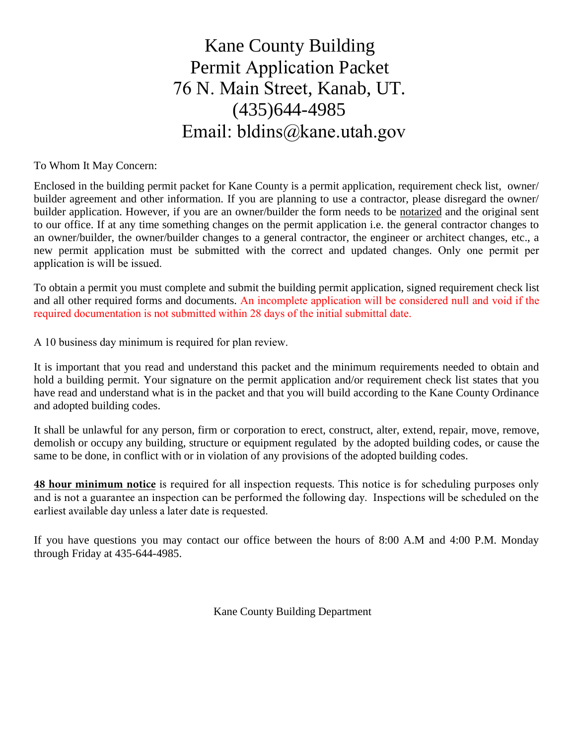# Kane County Building Permit Application Packet 76 N. Main Street, Kanab, UT. (435)644-4985 Email: bldins@kane.utah.gov

To Whom It May Concern:

Enclosed in the building permit packet for Kane County is a permit application, requirement check list, owner/ builder agreement and other information. If you are planning to use a contractor, please disregard the owner/ builder application. However, if you are an owner/builder the form needs to be notarized and the original sent to our office. If at any time something changes on the permit application i.e. the general contractor changes to an owner/builder, the owner/builder changes to a general contractor, the engineer or architect changes, etc., a new permit application must be submitted with the correct and updated changes. Only one permit per application is will be issued.

To obtain a permit you must complete and submit the building permit application, signed requirement check list and all other required forms and documents. An incomplete application will be considered null and void if the required documentation is not submitted within 28 days of the initial submittal date.

A 10 business day minimum is required for plan review.

It is important that you read and understand this packet and the minimum requirements needed to obtain and hold a building permit. Your signature on the permit application and/or requirement check list states that you have read and understand what is in the packet and that you will build according to the Kane County Ordinance and adopted building codes.

It shall be unlawful for any person, firm or corporation to erect, construct, alter, extend, repair, move, remove, demolish or occupy any building, structure or equipment regulated by the adopted building codes, or cause the same to be done, in conflict with or in violation of any provisions of the adopted building codes.

**48 hour minimum notice** is required for all inspection requests. This notice is for scheduling purposes only and is not a guarantee an inspection can be performed the following day. Inspections will be scheduled on the earliest available day unless a later date is requested.

If you have questions you may contact our office between the hours of 8:00 A.M and 4:00 P.M. Monday through Friday at 435-644-4985.

Kane County Building Department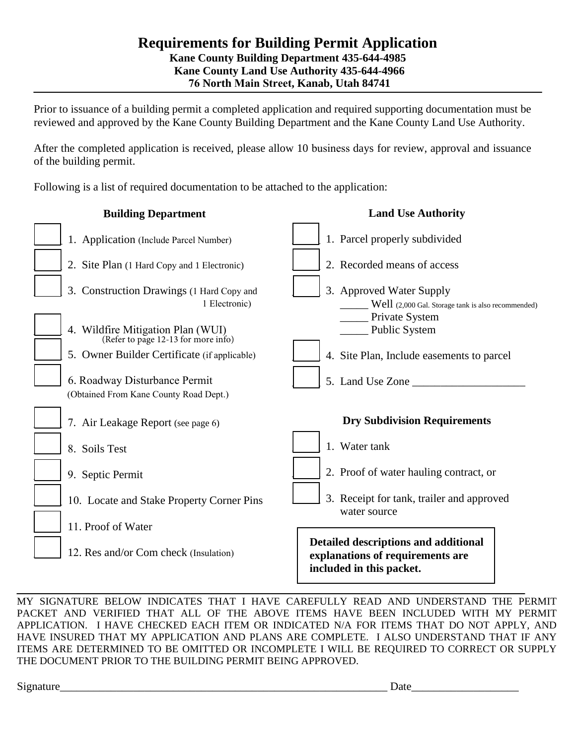#### **Requirements for Building Permit Application Kane County Building Department 435-644-4985 Kane County Land Use Authority 435-644-4966 76 North Main Street, Kanab, Utah 84741**

Prior to issuance of a building permit a completed application and required supporting documentation must be reviewed and approved by the Kane County Building Department and the Kane County Land Use Authority.

After the completed application is received, please allow 10 business days for review, approval and issuance of the building permit.

Following is a list of required documentation to be attached to the application:

| <b>Building Department</b>                                               | <b>Land Use Authority</b>                                                                            |
|--------------------------------------------------------------------------|------------------------------------------------------------------------------------------------------|
| 1. Application (Include Parcel Number)                                   | 1. Parcel properly subdivided                                                                        |
| 2. Site Plan (1 Hard Copy and 1 Electronic)                              | 2. Recorded means of access                                                                          |
| 3. Construction Drawings (1 Hard Copy and<br>1 Electronic)               | 3. Approved Water Supply<br>Well (2,000 Gal. Storage tank is also recommended)<br>Private System     |
| 4. Wildfire Mitigation Plan (WUI)<br>(Refer to page 12-13 for more info) | Public System                                                                                        |
| 5. Owner Builder Certificate (if applicable)                             | 4. Site Plan, Include easements to parcel                                                            |
| 6. Roadway Disturbance Permit<br>(Obtained From Kane County Road Dept.)  | 5. Land Use Zone                                                                                     |
| 7. Air Leakage Report (see page 6)                                       | <b>Dry Subdivision Requirements</b>                                                                  |
| 8. Soils Test                                                            | 1. Water tank                                                                                        |
| 9. Septic Permit                                                         | 2. Proof of water hauling contract, or                                                               |
| 10. Locate and Stake Property Corner Pins                                | 3. Receipt for tank, trailer and approved<br>water source                                            |
| 11. Proof of Water                                                       |                                                                                                      |
| 12. Res and/or Com check (Insulation)                                    | Detailed descriptions and additional<br>explanations of requirements are<br>included in this packet. |
|                                                                          |                                                                                                      |

MY SIGNATURE BELOW INDICATES THAT I HAVE CAREFULLY READ AND UNDERSTAND THE PERMIT PACKET AND VERIFIED THAT ALL OF THE ABOVE ITEMS HAVE BEEN INCLUDED WITH MY PERMIT APPLICATION. I HAVE CHECKED EACH ITEM OR INDICATED N/A FOR ITEMS THAT DO NOT APPLY, AND HAVE INSURED THAT MY APPLICATION AND PLANS ARE COMPLETE. I ALSO UNDERSTAND THAT IF ANY ITEMS ARE DETERMINED TO BE OMITTED OR INCOMPLETE I WILL BE REQUIRED TO CORRECT OR SUPPLY THE DOCUMENT PRIOR TO THE BUILDING PERMIT BEING APPROVED.

Signature Date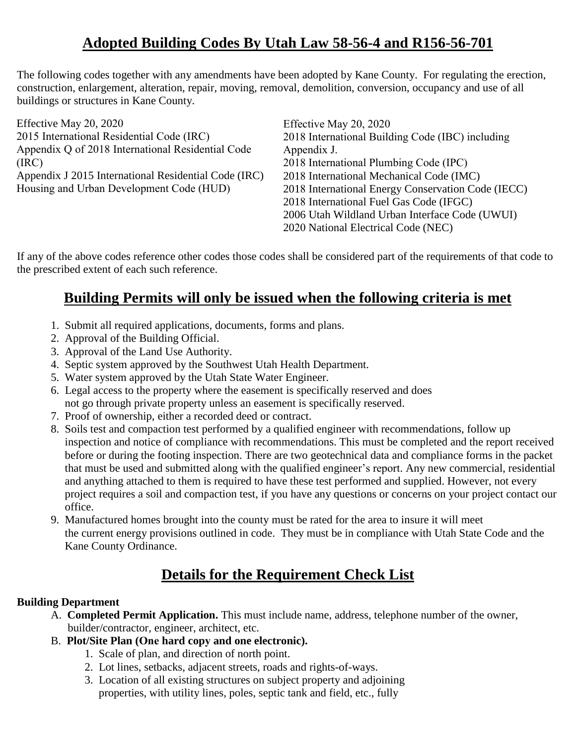## **Adopted Building Codes By Utah Law 58-56-4 and R156-56-701**

The following codes together with any amendments have been adopted by Kane County. For regulating the erection, construction, enlargement, alteration, repair, moving, removal, demolition, conversion, occupancy and use of all buildings or structures in Kane County.

| Effective May 20, 2020                               | Effective May 20, 2020                             |
|------------------------------------------------------|----------------------------------------------------|
| 2015 International Residential Code (IRC)            | 2018 International Building Code (IBC) including   |
| Appendix Q of 2018 International Residential Code    | Appendix J.                                        |
| (IRC)                                                | 2018 International Plumbing Code (IPC)             |
| Appendix J 2015 International Residential Code (IRC) | 2018 International Mechanical Code (IMC)           |
| Housing and Urban Development Code (HUD)             | 2018 International Energy Conservation Code (IECC) |
|                                                      | 2018 International Fuel Gas Code (IFGC)            |
|                                                      | 2006 Utah Wildland Urban Interface Code (UWUI)     |
|                                                      | 2020 National Electrical Code (NEC)                |
|                                                      |                                                    |

If any of the above codes reference other codes those codes shall be considered part of the requirements of that code to the prescribed extent of each such reference.

## **Building Permits will only be issued when the following criteria is met**

- 1. Submit all required applications, documents, forms and plans.
- 2. Approval of the Building Official.
- 3. Approval of the Land Use Authority.
- 4. Septic system approved by the Southwest Utah Health Department.
- 5. Water system approved by the Utah State Water Engineer.
- 6. Legal access to the property where the easement is specifically reserved and does not go through private property unless an easement is specifically reserved.
- 7. Proof of ownership, either a recorded deed or contract.
- 8. Soils test and compaction test performed by a qualified engineer with recommendations, follow up inspection and notice of compliance with recommendations. This must be completed and the report received before or during the footing inspection. There are two geotechnical data and compliance forms in the packet that must be used and submitted along with the qualified engineer's report. Any new commercial, residential and anything attached to them is required to have these test performed and supplied. However, not every project requires a soil and compaction test, if you have any questions or concerns on your project contact our office.
- 9. Manufactured homes brought into the county must be rated for the area to insure it will meet the current energy provisions outlined in code. They must be in compliance with Utah State Code and the Kane County Ordinance.

### **Details for the Requirement Check List**

#### **Building Department**

- A. **Completed Permit Application.** This must include name, address, telephone number of the owner, builder/contractor, engineer, architect, etc.
- B. **Plot/Site Plan (One hard copy and one electronic).**
	- 1. Scale of plan, and direction of north point.
	- 2. Lot lines, setbacks, adjacent streets, roads and rights-of-ways.
	- 3. Location of all existing structures on subject property and adjoining properties, with utility lines, poles, septic tank and field, etc., fully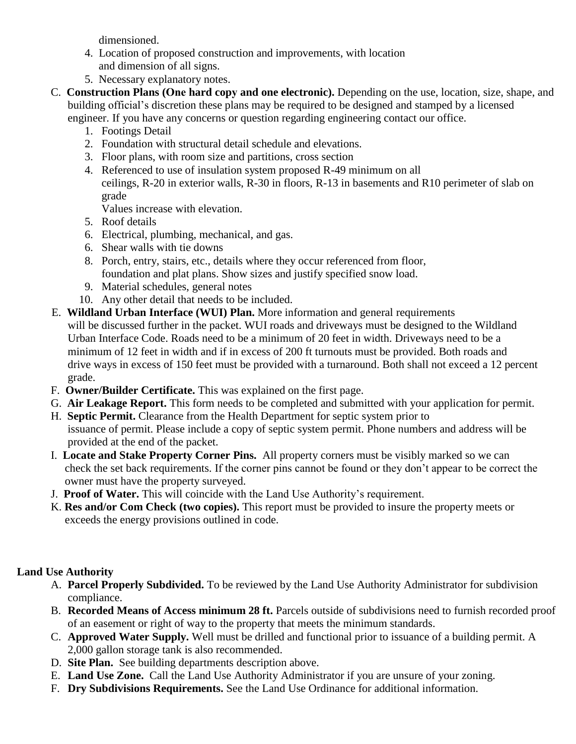dimensioned.

- 4. Location of proposed construction and improvements, with location and dimension of all signs.
- 5. Necessary explanatory notes.
- C. **Construction Plans (One hard copy and one electronic).** Depending on the use, location, size, shape, and building official's discretion these plans may be required to be designed and stamped by a licensed engineer. If you have any concerns or question regarding engineering contact our office.
	- 1. Footings Detail
	- 2. Foundation with structural detail schedule and elevations.
	- 3. Floor plans, with room size and partitions, cross section
	- 4. Referenced to use of insulation system proposed R-49 minimum on all ceilings, R-20 in exterior walls, R-30 in floors, R-13 in basements and R10 perimeter of slab on grade

Values increase with elevation.

- 5. Roof details
- 6. Electrical, plumbing, mechanical, and gas.
- 6. Shear walls with tie downs
- 8. Porch, entry, stairs, etc., details where they occur referenced from floor, foundation and plat plans. Show sizes and justify specified snow load.
- 9. Material schedules, general notes
- 10. Any other detail that needs to be included.
- E. **Wildland Urban Interface (WUI) Plan.** More information and general requirements will be discussed further in the packet. WUI roads and driveways must be designed to the Wildland Urban Interface Code. Roads need to be a minimum of 20 feet in width. Driveways need to be a minimum of 12 feet in width and if in excess of 200 ft turnouts must be provided. Both roads and drive ways in excess of 150 feet must be provided with a turnaround. Both shall not exceed a 12 percent grade.
- F. **Owner/Builder Certificate.** This was explained on the first page.
- G. **Air Leakage Report.** This form needs to be completed and submitted with your application for permit.
- H. **Septic Permit.** Clearance from the Health Department for septic system prior to issuance of permit. Please include a copy of septic system permit. Phone numbers and address will be provided at the end of the packet.
- I. **Locate and Stake Property Corner Pins.** All property corners must be visibly marked so we can check the set back requirements. If the corner pins cannot be found or they don't appear to be correct the owner must have the property surveyed.
- J. **Proof of Water.** This will coincide with the Land Use Authority's requirement.
- K. **Res and/or Com Check (two copies).** This report must be provided to insure the property meets or exceeds the energy provisions outlined in code.

#### **Land Use Authority**

- A. **Parcel Properly Subdivided.** To be reviewed by the Land Use Authority Administrator for subdivision compliance.
- B. **Recorded Means of Access minimum 28 ft.** Parcels outside of subdivisions need to furnish recorded proof of an easement or right of way to the property that meets the minimum standards.
- C. **Approved Water Supply.** Well must be drilled and functional prior to issuance of a building permit. A 2,000 gallon storage tank is also recommended.
- D. **Site Plan.** See building departments description above.
- E. **Land Use Zone.** Call the Land Use Authority Administrator if you are unsure of your zoning.
- F. **Dry Subdivisions Requirements.** See the Land Use Ordinance for additional information.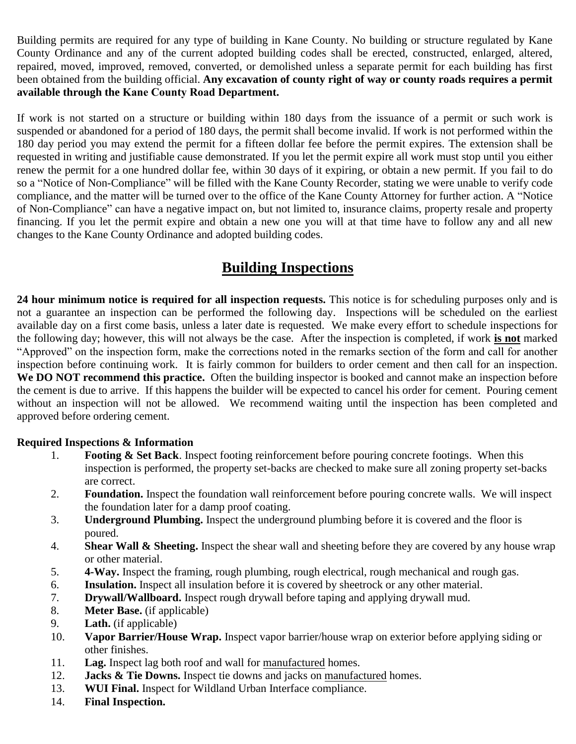Building permits are required for any type of building in Kane County. No building or structure regulated by Kane County Ordinance and any of the current adopted building codes shall be erected, constructed, enlarged, altered, repaired, moved, improved, removed, converted, or demolished unless a separate permit for each building has first been obtained from the building official. **Any excavation of county right of way or county roads requires a permit available through the Kane County Road Department.**

If work is not started on a structure or building within 180 days from the issuance of a permit or such work is suspended or abandoned for a period of 180 days, the permit shall become invalid. If work is not performed within the 180 day period you may extend the permit for a fifteen dollar fee before the permit expires. The extension shall be requested in writing and justifiable cause demonstrated. If you let the permit expire all work must stop until you either renew the permit for a one hundred dollar fee, within 30 days of it expiring, or obtain a new permit. If you fail to do so a "Notice of Non-Compliance" will be filled with the Kane County Recorder, stating we were unable to verify code compliance, and the matter will be turned over to the office of the Kane County Attorney for further action. A "Notice of Non-Compliance" can have a negative impact on, but not limited to, insurance claims, property resale and property financing. If you let the permit expire and obtain a new one you will at that time have to follow any and all new changes to the Kane County Ordinance and adopted building codes.

### **Building Inspections**

**24 hour minimum notice is required for all inspection requests.** This notice is for scheduling purposes only and is not a guarantee an inspection can be performed the following day. Inspections will be scheduled on the earliest available day on a first come basis, unless a later date is requested. We make every effort to schedule inspections for the following day; however, this will not always be the case. After the inspection is completed, if work **is not** marked "Approved" on the inspection form, make the corrections noted in the remarks section of the form and call for another inspection before continuing work. It is fairly common for builders to order cement and then call for an inspection. **We DO NOT recommend this practice.** Often the building inspector is booked and cannot make an inspection before the cement is due to arrive. If this happens the builder will be expected to cancel his order for cement. Pouring cement without an inspection will not be allowed. We recommend waiting until the inspection has been completed and approved before ordering cement.

#### **Required Inspections & Information**

- 1. **Footing & Set Back**. Inspect footing reinforcement before pouring concrete footings. When this inspection is performed, the property set-backs are checked to make sure all zoning property set-backs are correct.
- 2. **Foundation.** Inspect the foundation wall reinforcement before pouring concrete walls. We will inspect the foundation later for a damp proof coating.
- 3. **Underground Plumbing.** Inspect the underground plumbing before it is covered and the floor is poured.
- 4. **Shear Wall & Sheeting.** Inspect the shear wall and sheeting before they are covered by any house wrap or other material.
- 5. **4-Way.** Inspect the framing, rough plumbing, rough electrical, rough mechanical and rough gas.
- 6. **Insulation.** Inspect all insulation before it is covered by sheetrock or any other material.
- 7. **Drywall/Wallboard.** Inspect rough drywall before taping and applying drywall mud.
- 8. **Meter Base.** (if applicable)
- 9. **Lath.** (if applicable)
- 10. **Vapor Barrier/House Wrap.** Inspect vapor barrier/house wrap on exterior before applying siding or other finishes.
- 11. **Lag.** Inspect lag both roof and wall for manufactured homes.
- 12. **Jacks & Tie Downs.** Inspect tie downs and jacks on manufactured homes.
- 13. **WUI Final.** Inspect for Wildland Urban Interface compliance.
- 14. **Final Inspection.**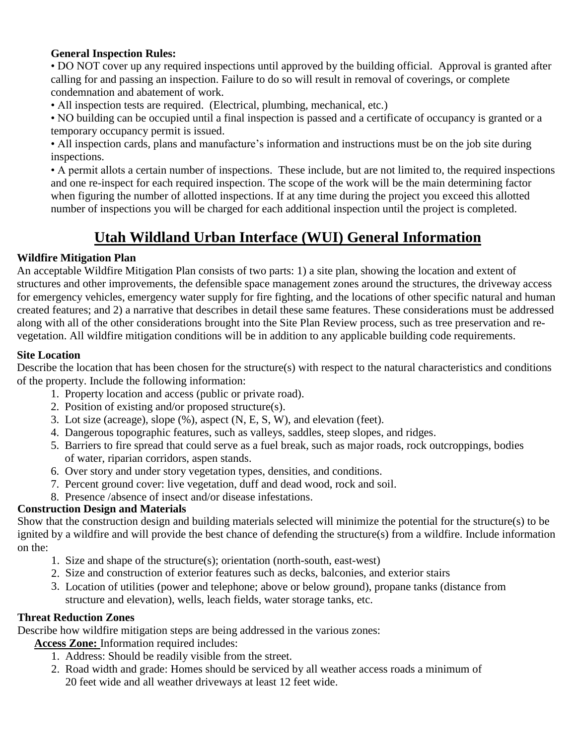#### **General Inspection Rules:**

• DO NOT cover up any required inspections until approved by the building official. Approval is granted after calling for and passing an inspection. Failure to do so will result in removal of coverings, or complete condemnation and abatement of work.

• All inspection tests are required. (Electrical, plumbing, mechanical, etc.)

• NO building can be occupied until a final inspection is passed and a certificate of occupancy is granted or a temporary occupancy permit is issued.

• All inspection cards, plans and manufacture's information and instructions must be on the job site during inspections.

• A permit allots a certain number of inspections. These include, but are not limited to, the required inspections and one re-inspect for each required inspection. The scope of the work will be the main determining factor when figuring the number of allotted inspections. If at any time during the project you exceed this allotted number of inspections you will be charged for each additional inspection until the project is completed.

## **Utah Wildland Urban Interface (WUI) General Information**

#### **Wildfire Mitigation Plan**

An acceptable Wildfire Mitigation Plan consists of two parts: 1) a site plan, showing the location and extent of structures and other improvements, the defensible space management zones around the structures, the driveway access for emergency vehicles, emergency water supply for fire fighting, and the locations of other specific natural and human created features; and 2) a narrative that describes in detail these same features. These considerations must be addressed along with all of the other considerations brought into the Site Plan Review process, such as tree preservation and revegetation. All wildfire mitigation conditions will be in addition to any applicable building code requirements.

#### **Site Location**

Describe the location that has been chosen for the structure(s) with respect to the natural characteristics and conditions of the property. Include the following information:

- 1. Property location and access (public or private road).
- 2. Position of existing and/or proposed structure(s).
- 3. Lot size (acreage), slope (%), aspect (N, E, S, W), and elevation (feet).
- 4. Dangerous topographic features, such as valleys, saddles, steep slopes, and ridges.
- 5. Barriers to fire spread that could serve as a fuel break, such as major roads, rock outcroppings, bodies of water, riparian corridors, aspen stands.
- 6. Over story and under story vegetation types, densities, and conditions.
- 7. Percent ground cover: live vegetation, duff and dead wood, rock and soil.
- 8. Presence /absence of insect and/or disease infestations.

#### **Construction Design and Materials**

Show that the construction design and building materials selected will minimize the potential for the structure(s) to be ignited by a wildfire and will provide the best chance of defending the structure(s) from a wildfire. Include information on the:

- 1. Size and shape of the structure(s); orientation (north-south, east-west)
- 2. Size and construction of exterior features such as decks, balconies, and exterior stairs
- 3. Location of utilities (power and telephone; above or below ground), propane tanks (distance from structure and elevation), wells, leach fields, water storage tanks, etc.

#### **Threat Reduction Zones**

Describe how wildfire mitigation steps are being addressed in the various zones:

**Access Zone:** Information required includes:

- 1. Address: Should be readily visible from the street.
- 2. Road width and grade: Homes should be serviced by all weather access roads a minimum of 20 feet wide and all weather driveways at least 12 feet wide.